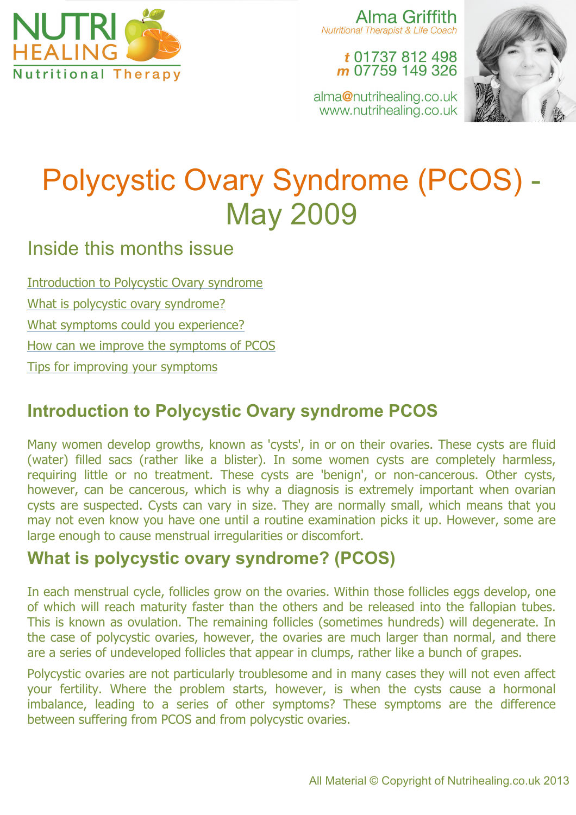

Alma Griffith **Nutritional Therapist & Life Coach** 

t 01737 812 498 m 07759 149 326

alma@nutrihealing.co.uk www.nutrihealing.co.uk



# Polycystic Ovary Syndrome (PCOS) - May 2009

# Inside this months issue

Introduction to Polycystic Ovary syndrome

What is polycystic ovary syndrome?

What symptoms could you experience?

How can we improve the symptoms of PCOS

Tips for improving your symptoms

# **Introduction to Polycystic Ovary syndrome PCOS**

Many women develop growths, known as 'cysts', in or on their ovaries. These cysts are fluid (water) filled sacs (rather like a blister). In some women cysts are completely harmless, requiring little or no treatment. These cysts are 'benign', or non-cancerous. Other cysts, however, can be cancerous, which is why a diagnosis is extremely important when ovarian cysts are suspected. Cysts can vary in size. They are normally small, which means that you may not even know you have one until a routine examination picks it up. However, some are large enough to cause menstrual irregularities or discomfort.

## **What is polycystic ovary syndrome? (PCOS)**

In each menstrual cycle, follicles grow on the ovaries. Within those follicles eggs develop, one of which will reach maturity faster than the others and be released into the fallopian tubes. This is known as ovulation. The remaining follicles (sometimes hundreds) will degenerate. In the case of polycystic ovaries, however, the ovaries are much larger than normal, and there are a series of undeveloped follicles that appear in clumps, rather like a bunch of grapes.

Polycystic ovaries are not particularly troublesome and in many cases they will not even affect your fertility. Where the problem starts, however, is when the cysts cause a hormonal imbalance, leading to a series of other symptoms? These symptoms are the difference between suffering from PCOS and from polycystic ovaries.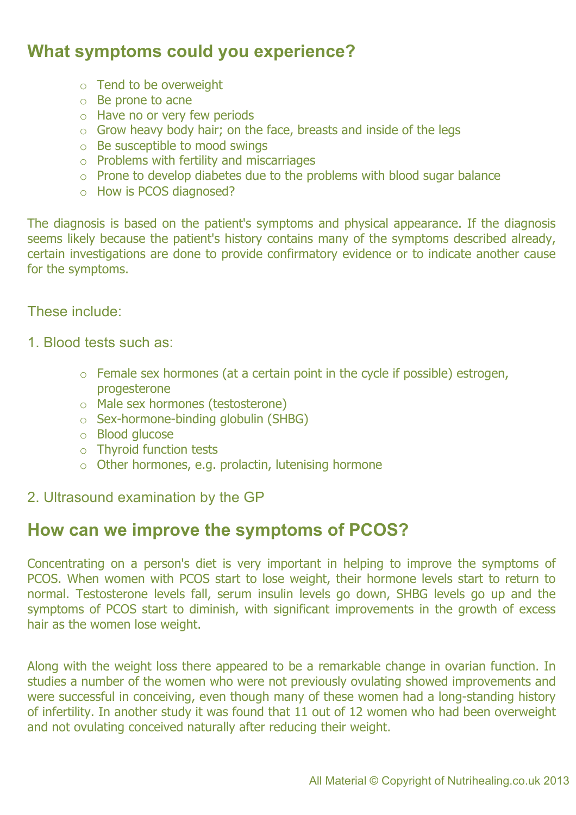## **What symptoms could you experience?**

- o Tend to be overweight
- o Be prone to acne
- o Have no or very few periods
- o Grow heavy body hair; on the face, breasts and inside of the legs
- o Be susceptible to mood swings
- $\circ$  Problems with fertility and miscarriages
- $\circ$  Prone to develop diabetes due to the problems with blood sugar balance
- o How is PCOS diagnosed?

The diagnosis is based on the patient's symptoms and physical appearance. If the diagnosis seems likely because the patient's history contains many of the symptoms described already, certain investigations are done to provide confirmatory evidence or to indicate another cause for the symptoms.

#### These include:

- 1. Blood tests such as:
	- o Female sex hormones (at a certain point in the cycle if possible) estrogen, progesterone
	- o Male sex hormones (testosterone)
	- o Sex-hormone-binding globulin (SHBG)
	- o Blood glucose
	- o Thyroid function tests
	- $\circ$  Other hormones, e.g. prolactin, lutenising hormone
- 2. Ultrasound examination by the GP

## **How can we improve the symptoms of PCOS?**

Concentrating on a person's diet is very important in helping to improve the symptoms of PCOS. When women with PCOS start to lose weight, their hormone levels start to return to normal. Testosterone levels fall, serum insulin levels go down, SHBG levels go up and the symptoms of PCOS start to diminish, with significant improvements in the growth of excess hair as the women lose weight.

Along with the weight loss there appeared to be a remarkable change in ovarian function. In studies a number of the women who were not previously ovulating showed improvements and were successful in conceiving, even though many of these women had a long-standing history of infertility. In another study it was found that 11 out of 12 women who had been overweight and not ovulating conceived naturally after reducing their weight.